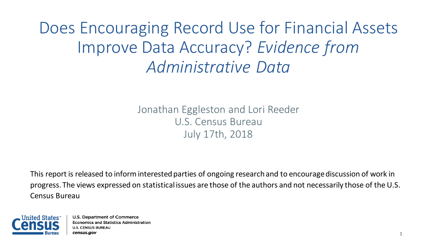Does Encouraging Record Use for Financial Assets Improve Data Accuracy? *Evidence from Administrative Data*

> Jonathan Eggleston and Lori Reeder U.S. Census Bureau July 17th, 2018

This report is released to inform interested parties of ongoing research and to encourage discussion of work in progress. The views expressed on statistical issues are those of the authors and not necessarily those of the U.S. Census Bureau

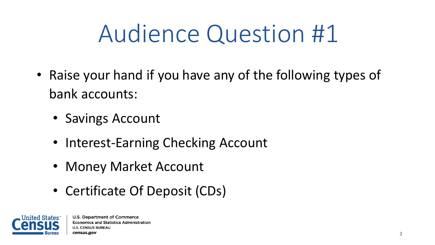# Audience Question #1

- Raise your hand if you have any of the following types of bank accounts:
	- Savings Account
	- Interest-Earning Checking Account
	- Money Market Account
	- Certificate Of Deposit (CDs)

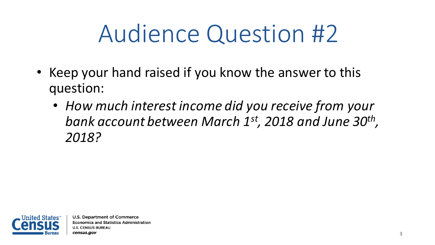# Audience Question #2

- Keep your hand raised if you know the answer to this question:
	- *How much interest income did you receive from your bank account between March 1st, 2018 and June 30th , 2018?*

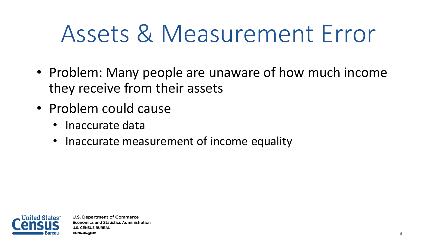## Assets & Measurement Error

- Problem: Many people are unaware of how much income they receive from their assets
- Problem could cause
	- Inaccurate data
	- Inaccurate measurement of income equality

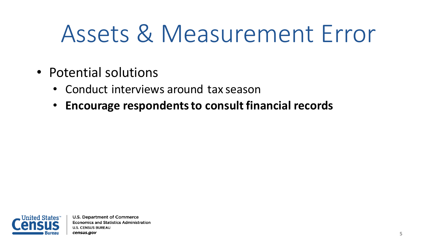## Assets & Measurement Error

- Potential solutions
	- Conduct interviews around tax season
	- **Encourage respondents to consult financial records**

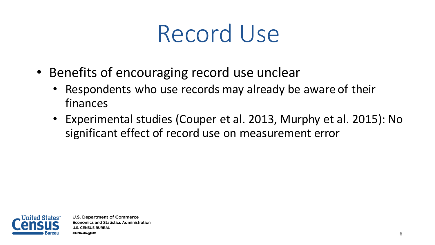### Record Use

- Benefits of encouraging record use unclear
	- Respondents who use records may already be aware of their finances
	- Experimental studies (Couper et al. 2013, Murphy et al. 2015): No significant effect of record use on measurement error

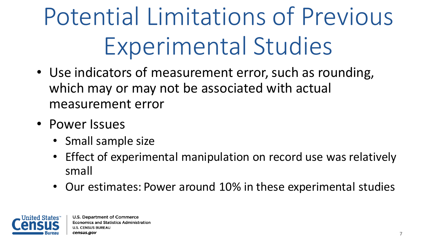Potential Limitations of Previous Experimental Studies

- Use indicators of measurement error, such as rounding, which may or may not be associated with actual measurement error
- Power Issues
	- Small sample size
	- Effect of experimental manipulation on record use was relatively small
	- Our estimates: Power around 10% in these experimental studies

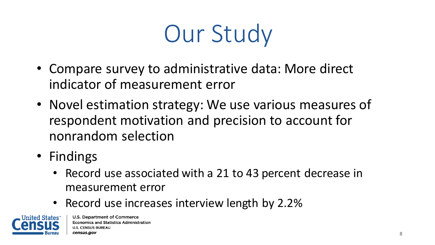# Our Study

- Compare survey to administrative data: More direct indicator of measurement error
- Novel estimation strategy: We use various measures of respondent motivation and precision to account for nonrandom selection
- Findings
	- Record use associated with a 21 to 43 percent decrease in measurement error
	- Record use increases interview length by 2.2%

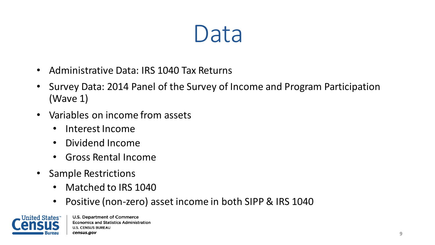#### Data

- Administrative Data: IRS 1040 Tax Returns
- Survey Data: 2014 Panel of the Survey of Income and Program Participation (Wave 1)
- Variables on income from assets
	- Interest Income
	- Dividend Income
	- Gross Rental Income
- Sample Restrictions
	- Matched to IRS 1040
	- Positive (non-zero) asset income in both SIPP & IRS 1040

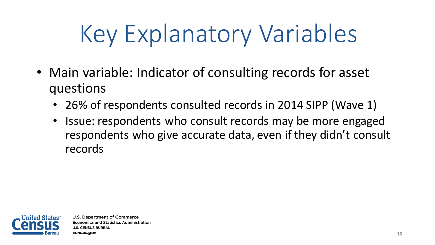# Key Explanatory Variables

- Main variable: Indicator of consulting records for asset questions
	- 26% of respondents consulted records in 2014 SIPP (Wave 1)
	- Issue: respondents who consult records may be more engaged respondents who give accurate data, even if they didn't consult records

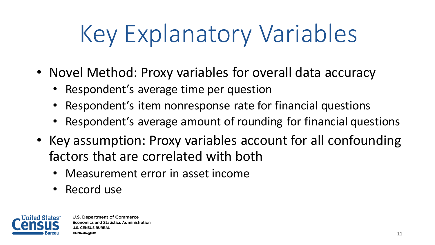# Key Explanatory Variables

- Novel Method: Proxy variables for overall data accuracy
	- Respondent's average time per question
	- Respondent's item nonresponse rate for financial questions
	- Respondent's average amount of rounding for financial questions
- Key assumption: Proxy variables account for all confounding factors that are correlated with both
	- Measurement error in asset income
	- Record use

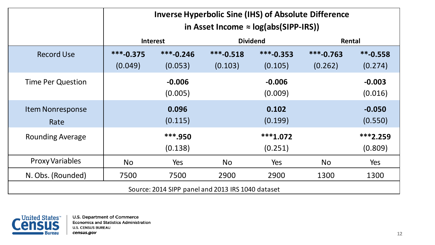|                                                   | <b>Inverse Hyperbolic Sine (IHS) of Absolute Difference</b><br>in Asset Income $\approx$ log(abs(SIPP-IRS)) |                        |                        |                        |                        |                       |
|---------------------------------------------------|-------------------------------------------------------------------------------------------------------------|------------------------|------------------------|------------------------|------------------------|-----------------------|
|                                                   |                                                                                                             | <b>Interest</b>        |                        | <b>Dividend</b>        | Rental                 |                       |
| <b>Record Use</b>                                 | $***-0.375$<br>(0.049)                                                                                      | $***-0.246$<br>(0.053) | $***-0.518$<br>(0.103) | $***-0.353$<br>(0.105) | $***-0.763$<br>(0.262) | $**-0.558$<br>(0.274) |
| <b>Time Per Question</b>                          |                                                                                                             | $-0.006$<br>(0.005)    |                        | $-0.006$<br>(0.009)    |                        | $-0.003$<br>(0.016)   |
| <b>Item Nonresponse</b><br>Rate                   |                                                                                                             | 0.096<br>(0.115)       |                        | 0.102<br>(0.199)       |                        | $-0.050$<br>(0.550)   |
| <b>Rounding Average</b>                           |                                                                                                             | ***.950<br>(0.138)     |                        | $***1.072$<br>(0.251)  |                        | $***2.259$<br>(0.809) |
| <b>Proxy Variables</b>                            | <b>No</b>                                                                                                   | <b>Yes</b>             | <b>No</b>              | Yes                    | <b>No</b>              | Yes                   |
| N. Obs. (Rounded)                                 | 7500                                                                                                        | 7500                   | 2900                   | 2900                   | 1300                   | 1300                  |
| Source: 2014 SIPP panel and 2013 IRS 1040 dataset |                                                                                                             |                        |                        |                        |                        |                       |

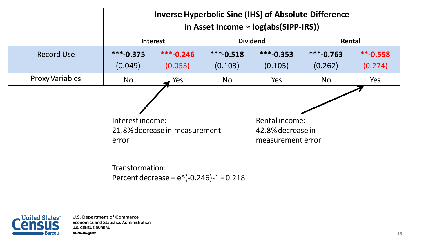|                        | <b>Inverse Hyperbolic Sine (IHS) of Absolute Difference</b><br>in Asset Income $\approx$ log(abs(SIPP-IRS)) |                        |                        |                                                          |                        |                                   |
|------------------------|-------------------------------------------------------------------------------------------------------------|------------------------|------------------------|----------------------------------------------------------|------------------------|-----------------------------------|
|                        | <b>Interest</b>                                                                                             |                        | <b>Dividend</b>        | Rental                                                   |                        |                                   |
| <b>Record Use</b>      | $***-0.375$<br>(0.049)                                                                                      | $***-0.246$<br>(0.053) | $***-0.518$<br>(0.103) | $***-0.353$<br>(0.105)                                   | $***-0.763$<br>(0.262) | $*$ <sup>-</sup> 0.558<br>(0.274) |
| <b>Proxy Variables</b> | <b>No</b>                                                                                                   | Yes                    | <b>No</b>              | Yes                                                      | <b>No</b>              | Yes                               |
|                        | Interest income:<br>21.8% decrease in measurement<br>error                                                  |                        |                        | Rental income:<br>42.8% decrease in<br>measurement error |                        |                                   |

Transformation: Percent decrease =  $e^{\Lambda}(-0.246)-1 = 0.218$ 

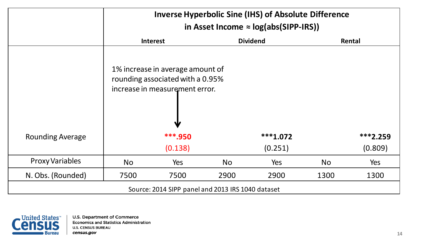|                                                   | <b>Inverse Hyperbolic Sine (IHS) of Absolute Difference</b><br>in Asset Income $\approx$ log(abs(SIPP-IRS)) |                                                                                                                                   |           |                       |           |                       |
|---------------------------------------------------|-------------------------------------------------------------------------------------------------------------|-----------------------------------------------------------------------------------------------------------------------------------|-----------|-----------------------|-----------|-----------------------|
|                                                   | <b>Dividend</b><br><b>Interest</b>                                                                          |                                                                                                                                   |           |                       | Rental    |                       |
| <b>Rounding Average</b>                           |                                                                                                             | 1% increase in average amount of<br>rounding associated with a 0.95%<br>increase in measurement error.<br>₩<br>***.950<br>(0.138) |           | $***1.072$<br>(0.251) |           | $***2.259$<br>(0.809) |
| <b>Proxy Variables</b>                            | <b>No</b>                                                                                                   | Yes                                                                                                                               | <b>No</b> | Yes                   | <b>No</b> | Yes                   |
| N. Obs. (Rounded)                                 | 7500                                                                                                        | 7500                                                                                                                              | 2900      | 2900                  | 1300      | 1300                  |
| Source: 2014 SIPP panel and 2013 IRS 1040 dataset |                                                                                                             |                                                                                                                                   |           |                       |           |                       |

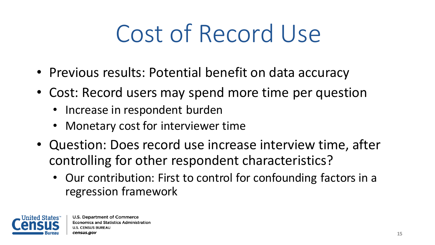# Cost of Record Use

- Previous results: Potential benefit on data accuracy
- Cost: Record users may spend more time per question
	- Increase in respondent burden
	- Monetary cost for interviewer time
- Question: Does record use increase interview time, after controlling for other respondent characteristics?
	- Our contribution: First to control for confounding factors in a regression framework

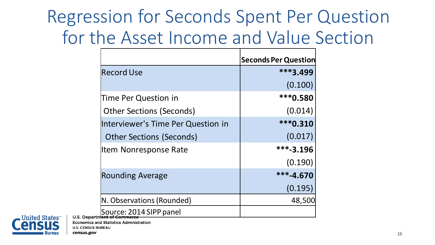#### Regression for Seconds Spent Per Question for the Asset Income and Value Section

|                                    | <b>Seconds Per Question</b> |
|------------------------------------|-----------------------------|
| <b>Record Use</b>                  | ***3.499                    |
|                                    | (0.100)                     |
| Time Per Question in               | *** 0.580                   |
| <b>Other Sections (Seconds)</b>    | (0.014)                     |
| Interviewer's Time Per Question in | ***0.310                    |
| <b>Other Sections (Seconds)</b>    | (0.017)                     |
| <b>Item Nonresponse Rate</b>       | $***-3.196$                 |
|                                    | (0.190)                     |
| <b>Rounding Average</b>            | ***-4.670                   |
|                                    | (0.195)                     |
| N. Observations (Rounded)          | 48,500                      |
| Source: 2014 SIPP panel            |                             |



**Economics and Statistics Administration U.S. CENSUS BUREAU** 

census.gov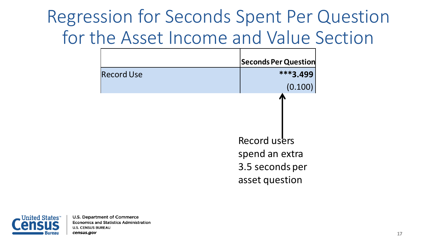#### Regression for Seconds Spent Per Question for the Asset Income and Value Section

|                   | <b>Seconds Per Question</b>                                         |  |  |
|-------------------|---------------------------------------------------------------------|--|--|
| <b>Record Use</b> | $***3.499$                                                          |  |  |
|                   | (0.100)                                                             |  |  |
|                   | Record users<br>spend an extra<br>3.5 seconds per<br>asset question |  |  |

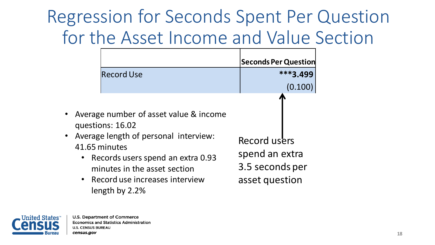#### Regression for Seconds Spent Per Question for the Asset Income and Value Section

|                        | Record Use                                                                                                                                                                                                                                        | <b>Seconds Per Question</b>                                         | ***3.499<br>(0.100 |
|------------------------|---------------------------------------------------------------------------------------------------------------------------------------------------------------------------------------------------------------------------------------------------|---------------------------------------------------------------------|--------------------|
| $\bullet$<br>$\bullet$ | Average number of asset value & income<br>questions: 16.02<br>Average length of personal interview:<br>41.65 minutes<br>• Records users spend an extra 0.93<br>minutes in the asset section<br>• Record use increases interview<br>length by 2.2% | Record users<br>spend an extra<br>3.5 seconds per<br>asset question |                    |

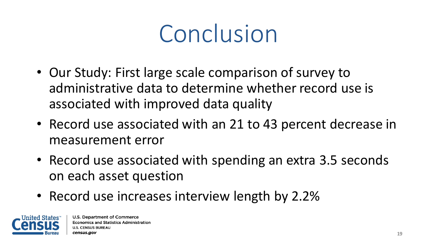### Conclusion

- Our Study: First large scale comparison of survey to administrative data to determine whether record use is associated with improved data quality
- Record use associated with an 21 to 43 percent decrease in measurement error
- Record use associated with spending an extra 3.5 seconds on each asset question
- Record use increases interview length by 2.2%